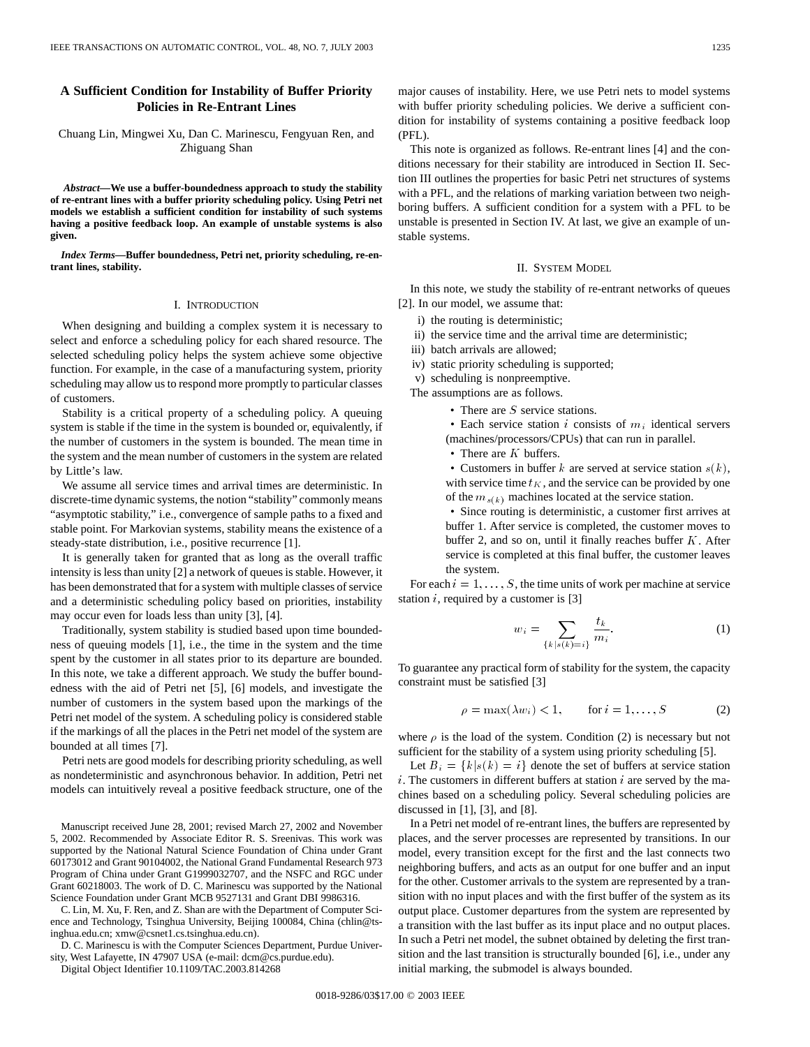# **A Sufficient Condition for Instability of Buffer Priority Policies in Re-Entrant Lines**

Chuang Lin, Mingwei Xu, Dan C. Marinescu, Fengyuan Ren, and Zhiguang Shan

*Abstract—***We use a buffer-boundedness approach to study the stability of re-entrant lines with a buffer priority scheduling policy. Using Petri net models we establish a sufficient condition for instability of such systems having a positive feedback loop. An example of unstable systems is also given.**

*Index Terms—***Buffer boundedness, Petri net, priority scheduling, re-entrant lines, stability.**

## I. INTRODUCTION

When designing and building a complex system it is necessary to select and enforce a scheduling policy for each shared resource. The selected scheduling policy helps the system achieve some objective function. For example, in the case of a manufacturing system, priority scheduling may allow us to respond more promptly to particular classes of customers.

Stability is a critical property of a scheduling policy. A queuing system is stable if the time in the system is bounded or, equivalently, if the number of customers in the system is bounded. The mean time in the system and the mean number of customers in the system are related by Little's law.

We assume all service times and arrival times are deterministic. In discrete-time dynamic systems, the notion "stability" commonly means "asymptotic stability," i.e., convergence of sample paths to a fixed and stable point. For Markovian systems, stability means the existence of a steady-state distribution, i.e., positive recurrence [1].

It is generally taken for granted that as long as the overall traffic intensity is less than unity [2] a network of queues is stable. However, it has been demonstrated that for a system with multiple classes of service and a deterministic scheduling policy based on priorities, instability may occur even for loads less than unity [3], [4].

Traditionally, system stability is studied based upon time boundedness of queuing models [1], i.e., the time in the system and the time spent by the customer in all states prior to its departure are bounded. In this note, we take a different approach. We study the buffer boundedness with the aid of Petri net [5], [6] models, and investigate the number of customers in the system based upon the markings of the Petri net model of the system. A scheduling policy is considered stable if the markings of all the places in the Petri net model of the system are bounded at all times [7].

Petri nets are good models for describing priority scheduling, as well as nondeterministic and asynchronous behavior. In addition, Petri net models can intuitively reveal a positive feedback structure, one of the

Manuscript received June 28, 2001; revised March 27, 2002 and November 5, 2002. Recommended by Associate Editor R. S. Sreenivas. This work was supported by the National Natural Science Foundation of China under Grant 60173012 and Grant 90104002, the National Grand Fundamental Research 973 Program of China under Grant G1999032707, and the NSFC and RGC under Grant 60218003. The work of D. C. Marinescu was supported by the National Science Foundation under Grant MCB 9527131 and Grant DBI 9986316.

C. Lin, M. Xu, F. Ren, and Z. Shan are with the Department of Computer Science and Technology, Tsinghua University, Beijing 100084, China (chlin@tsinghua.edu.cn; xmw@csnet1.cs.tsinghua.edu.cn).

D. C. Marinescu is with the Computer Sciences Department, Purdue University, West Lafayette, IN 47907 USA (e-mail: dcm@cs.purdue.edu).

Digital Object Identifier 10.1109/TAC.2003.814268

major causes of instability. Here, we use Petri nets to model systems with buffer priority scheduling policies. We derive a sufficient condition for instability of systems containing a positive feedback loop (PFL).

This note is organized as follows. Re-entrant lines [4] and the conditions necessary for their stability are introduced in Section II. Section III outlines the properties for basic Petri net structures of systems with a PFL, and the relations of marking variation between two neighboring buffers. A sufficient condition for a system with a PFL to be unstable is presented in Section IV. At last, we give an example of unstable systems.

### II. SYSTEM MODEL

In this note, we study the stability of re-entrant networks of queues [2]. In our model, we assume that:

- i) the routing is deterministic;
- ii) the service time and the arrival time are deterministic;
- iii) batch arrivals are allowed;
- iv) static priority scheduling is supported;
- v) scheduling is nonpreemptive.

The assumptions are as follows.

• There are S service stations.

• Each service station *i* consists of  $m_i$  identical servers (machines/processors/CPUs) that can run in parallel.

- There are  $K$  buffers.
- Customers in buffer k are served at service station  $s(k)$ , with service time  $t<sub>K</sub>$ , and the service can be provided by one of the  $m_{s(k)}$  machines located at the service station.
- Since routing is deterministic, a customer first arrives at buffer 1. After service is completed, the customer moves to buffer 2, and so on, until it finally reaches buffer  $K$ . After service is completed at this final buffer, the customer leaves the system.

For each  $i = 1, \ldots, S$ , the time units of work per machine at service station  $i$ , required by a customer is [3]

$$
w_i = \sum_{\{k \mid s(k)=i\}} \frac{t_k}{m_i}.\tag{1}
$$

To guarantee any practical form of stability for the system, the capacity constraint must be satisfied [3]

$$
\rho = \max(\lambda w_i) < 1, \qquad \text{for } i = 1, \dots, S \tag{2}
$$

where  $\rho$  is the load of the system. Condition (2) is necessary but not sufficient for the stability of a system using priority scheduling [5].

Let  $B_i = \{k | s(k) = i\}$  denote the set of buffers at service station i. The customers in different buffers at station  $i$  are served by the machines based on a scheduling policy. Several scheduling policies are discussed in [1], [3], and [8].

In a Petri net model of re-entrant lines, the buffers are represented by places, and the server processes are represented by transitions. In our model, every transition except for the first and the last connects two neighboring buffers, and acts as an output for one buffer and an input for the other. Customer arrivals to the system are represented by a transition with no input places and with the first buffer of the system as its output place. Customer departures from the system are represented by a transition with the last buffer as its input place and no output places. In such a Petri net model, the subnet obtained by deleting the first transition and the last transition is structurally bounded [6], i.e., under any initial marking, the submodel is always bounded.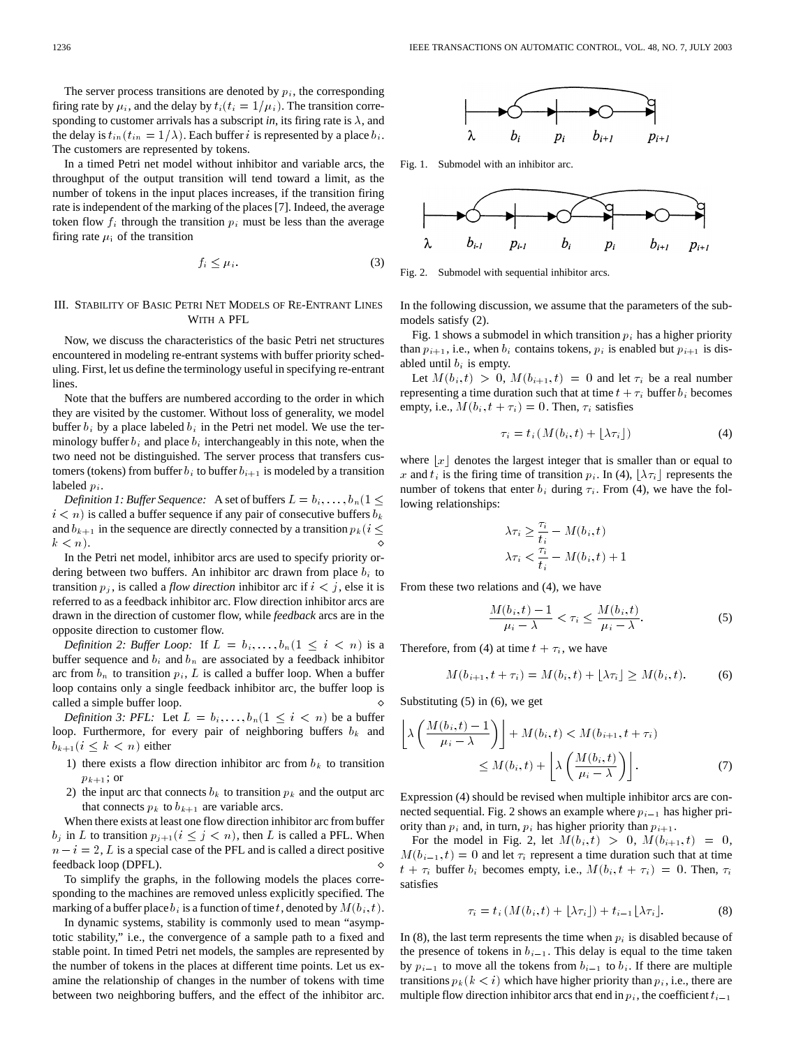The server process transitions are denoted by  $p_i$ , the corresponding firing rate by  $\mu_i$ , and the delay by  $t_i(t_i = 1/\mu_i)$ . The transition corresponding to customer arrivals has a subscript *in*, its firing rate is  $\lambda$ , and the delay is  $t_{in}(t_{in} = 1/\lambda)$ . Each buffer i is represented by a place  $b_i$ . The customers are represented by tokens.

In a timed Petri net model without inhibitor and variable arcs, the throughput of the output transition will tend toward a limit, as the number of tokens in the input places increases, if the transition firing rate is independent of the marking of the places [7]. Indeed, the average token flow  $f_i$  through the transition  $p_i$  must be less than the average firing rate  $\mu_i$  of the transition

$$
f_i \le \mu_i. \tag{3}
$$

## III. STABILITY OF BASIC PETRI NET MODELS OF RE-ENTRANT LINES WITH A PFL

Now, we discuss the characteristics of the basic Petri net structures encountered in modeling re-entrant systems with buffer priority scheduling. First, let us define the terminology useful in specifying re-entrant lines.

Note that the buffers are numbered according to the order in which they are visited by the customer. Without loss of generality, we model buffer  $b_i$  by a place labeled  $b_i$  in the Petri net model. We use the terminology buffer  $b_i$  and place  $b_i$  interchangeably in this note, when the two need not be distinguished. The server process that transfers customers (tokens) from buffer  $b_i$  to buffer  $b_{i+1}$  is modeled by a transition labeled  $p_i$ .

*Definition 1: Buffer Sequence:* A set of buffers  $L = b_i, \ldots, b_n$  (1  $\leq$  $i < n$ ) is called a buffer sequence if any pair of consecutive buffers  $b_k$ and  $b_{k+1}$  in the sequence are directly connected by a transition  $p_k(i \leq$  $k < n$ ).

In the Petri net model, inhibitor arcs are used to specify priority ordering between two buffers. An inhibitor arc drawn from place  $b_i$  to transition  $p_j$ , is called a *flow direction* inhibitor arc if  $i < j$ , else it is referred to as a feedback inhibitor arc. Flow direction inhibitor arcs are drawn in the direction of customer flow, while *feedback* arcs are in the opposite direction to customer flow.

*Definition 2: Buffer Loop:* If  $L = b_i, \ldots, b_n (1 \leq i \leq n)$  is a buffer sequence and  $b_i$  and  $b_n$  are associated by a feedback inhibitor arc from  $b_n$  to transition  $p_i$ , L is called a buffer loop. When a buffer loop contains only a single feedback inhibitor arc, the buffer loop is called a simple buffer loop.

*Definition 3: PFL:* Let  $L = b_i, \ldots, b_n (1 \leq i \leq n)$  be a buffer loop. Furthermore, for every pair of neighboring buffers  $b_k$  and  $b_{k+1}$ ( $i \leq k < n$ ) either

- 1) there exists a flow direction inhibitor arc from  $b_k$  to transition  $p_{k+1}$ ; or
- 2) the input arc that connects  $b_k$  to transition  $p_k$  and the output arc that connects  $p_k$  to  $b_{k+1}$  are variable arcs.

When there exists at least one flow direction inhibitor arc from buffer  $b_j$  in L to transition  $p_{j+1}$   $(i \leq j \leq n)$ , then L is called a PFL. When  $n - i = 2$ , L is a special case of the PFL and is called a direct positive feedback loop (DPFL).

To simplify the graphs, in the following models the places corresponding to the machines are removed unless explicitly specified. The marking of a buffer place  $b_i$  is a function of time t, denoted by  $M(b_i, t)$ .

In dynamic systems, stability is commonly used to mean "asymptotic stability," i.e., the convergence of a sample path to a fixed and stable point. In timed Petri net models, the samples are represented by the number of tokens in the places at different time points. Let us examine the relationship of changes in the number of tokens with time between two neighboring buffers, and the effect of the inhibitor arc.



Fig. 1. Submodel with an inhibitor arc.



Fig. 2. Submodel with sequential inhibitor arcs.

In the following discussion, we assume that the parameters of the submodels satisfy (2).

Fig. 1 shows a submodel in which transition  $p_i$  has a higher priority than  $p_{i+1}$ , i.e., when  $b_i$  contains tokens,  $p_i$  is enabled but  $p_{i+1}$  is disabled until  $b_i$  is empty.

Let  $M(b_i, t) > 0$ ,  $M(b_{i+1}, t) = 0$  and let  $\tau_i$  be a real number representing a time duration such that at time  $t + \tau_i$  buffer  $b_i$  becomes empty, i.e.,  $M(b_i, t + \tau_i) = 0$ . Then,  $\tau_i$  satisfies

$$
\tau_i = t_i \left( M(b_i, t) + \lfloor \lambda \tau_i \rfloor \right) \tag{4}
$$

where  $|x|$  denotes the largest integer that is smaller than or equal to x and  $t_i$  is the firing time of transition  $p_i$ . In (4),  $|\lambda \tau_i|$  represents the number of tokens that enter  $b_i$  during  $\tau_i$ . From (4), we have the following relationships:

$$
\lambda \tau_i \ge \frac{\tau_i}{t_i} - M(b_i, t)
$$
  

$$
\lambda \tau_i < \frac{\tau_i}{t_i} - M(b_i, t) + 1
$$

From these two relations and (4), we have

$$
\frac{M(b_i,t)-1}{\mu_i-\lambda} < \tau_i \le \frac{M(b_i,t)}{\mu_i-\lambda}.\tag{5}
$$

Therefore, from (4) at time  $t + \tau_i$ , we have

$$
M(b_{i+1}, t + \tau_i) = M(b_i, t) + \lfloor \lambda \tau_i \rfloor \ge M(b_i, t). \tag{6}
$$

Substituting (5) in (6), we get

$$
\lambda \left( \frac{M(b_i, t) - 1}{\mu_i - \lambda} \right) + M(b_i, t) < M(b_{i+1}, t + \tau_i)
$$
\n
$$
\leq M(b_i, t) + \left[ \lambda \left( \frac{M(b_i, t)}{\mu_i - \lambda} \right) \right]. \tag{7}
$$

Expression (4) should be revised when multiple inhibitor arcs are con-Expression (4) should be revised when multiple inhibitor arcs are connected sequential. Fig. 2 shows an example where  $p_{i-1}$  has higher priority than  $p_i$  and, in turn,  $p_i$  has higher priority than  $p_{i+1}$ .

For the model in Fig. 2, let  $M(b_i, t) > 0$ ,  $M(b_{i+1}, t) = 0$ ,  $M(b_{i-1}, t)=0$  and let  $\tau_i$  represent a time duration such that at time  $t + \tau_i$  buffer  $b_i$  becomes empty, i.e.,  $M(b_i, t + \tau_i) = 0$ . Then,  $\tau_i$ satisfies  $\tau_i = t_i \left( M(b_i, t) + [\lambda \tau_i] \right) + t_{i-1} [\lambda \tau_i].$  (8)

$$
\tau_i = t_i \left( M(b_i, t) + |\lambda \tau_i| \right) + t_{i-1} |\lambda \tau_i|. \tag{8}
$$

In (8), the last term represents the time when  $p_i$  is disabled because of In (8), the last term represents the time when  $p_i$  is disabled because of the presence of tokens in  $b_{i-1}$ . This delay is equal to the time taken In (8), the last term represents the time when  $p_i$  is disabled because of the presence of tokens in  $b_{i-1}$ . This delay is equal to the time taken by  $p_{i-1}$  to move all the tokens from  $b_{i-1}$  to  $b_i$ . If there are m transitions  $p_k(k < i)$  which have higher priority than  $p_i$ , i.e., there are by  $p_{i-1}$  to move all the tokens from  $b_{i-1}$  to  $b_i$ . If there are multiple transitions  $p_k$  ( $k < i$ ) which have higher priority than  $p_i$ , i.e., there are multiple flow direction inhibitor arcs that end in  $p_i$ , the c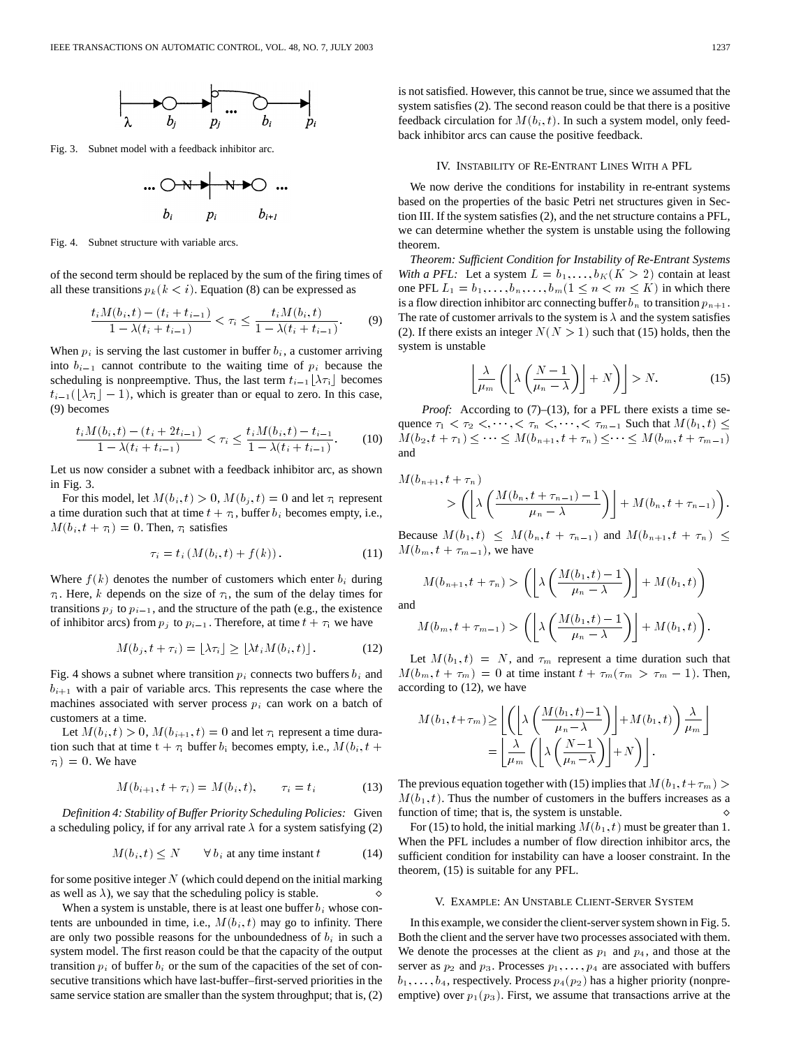

Fig. 3. Subnet model with a feedback inhibitor arc.

$$
\begin{array}{c|c}\n\cdots \bigcirc \mathbf{N} & \rightarrow \mathbf{N} \bullet \bigcirc \cdots \\
b_i & p_i & b_{i+1}\n\end{array}
$$

Fig. 4. Subnet structure with variable arcs.

of the second term should be replaced by the sum of the firing times of all these transitions  $p_k$  ( $k < i$ ). Equation (8) can be expressed as cond term should be replat<br>transitions  $p_k (k \lt i)$ . Equivalently,  $t_i M(b_i, t) - (t_i + t_{i-1})$ 

\n The equation is given by the sum of the firing times of transitions:\n 
$$
p_k(k < i)
$$
.\n Equation (8) can be expressed as\n  $\frac{t_i M(b_i, t) - (t_i + t_{i-1})}{1 - \lambda(t_i + t_{i-1})} < \tau_i \leq \frac{t_i M(b_i, t)}{1 - \lambda(t_i + t_{i-1})}.$ \n

When  $p_i$  is serving the last customer in buffer  $b_i$ , a customer arriving When  $p_i$  is serving the last customer in buffer  $b_i$ , a customer arriving into  $b_{i-1}$  cannot contribute to the waiting time of  $p_i$  because the When  $p_i$  is serving the last customer in buffer  $b_i$ , a customer arriving into  $b_{i-1}$  cannot contribute to the waiting time of  $p_i$  because the scheduling is nonpreemptive. Thus, the last term  $t_{i-1}[\lambda \tau_i]$  becomes into  $b_{i-1}$  cannot contribute to the waiting time of  $p_i$  because the scheduling is nonpreemptive. Thus, the last term  $t_{i-1}[\lambda \tau_i]$  becomes  $t_{i-1}([\lambda \tau_i] - 1)$ , which is greater than or equal to zero. In this case, (9) becomes times by given<br>  $t_i M(b_i, t) - (t_i + 2t_{i-1})$ 

$$
t_i M(b_i, t) - (t_i + 2t_{i-1}) < \tau_i \le \frac{t_i M(b_i, t) - t_{i-1}}{1 - \lambda(t_i + t_{i-1})} < \tau_i \le \frac{t_i M(b_i, t) - t_{i-1}}{1 - \lambda(t_i + t_{i-1})}.\tag{10}
$$

Let us now consider a subnet with a feedback inhibitor arc, as shown in Fig. 3.

For this model, let  $M(b_i, t) > 0$ ,  $M(b_i, t) = 0$  and let  $\tau_i$  represent a time duration such that at time  $t + \tau_i$ , buffer  $b_i$  becomes empty, i.e.,  $M(b_i, t + \tau_i) = 0$ . Then,  $\tau_i$  satisfies

$$
\tau_i = t_i \left( M(b_i, t) + f(k) \right). \tag{11}
$$

and

Where  $f(k)$  denotes the number of customers which enter  $b_i$  during  $\tau$ . Here, k depends on the size of  $\tau$ <sub>1</sub>, the sum of the delay times for Where  $f(k)$  denotes the number of customers which enter  $b_i$  during  $\tau_i$ . Here, k depends on the size of  $\tau_i$ , the sum of the delay times for transitions  $p_j$  to  $p_{i-1}$ , and the structure of the path (e.g., the existe transitions  $p_j$  to  $p_{i-1}$ , and the structure of the path (e.g., the existence of inhibitor arcs) from  $p_j$  to  $p_{i-1}$ . Therefore, at time  $t + \tau_i$  we have

$$
M(b_j, t + \tau_i) = \lfloor \lambda \tau_i \rfloor \ge \lfloor \lambda t_i M(b_i, t) \rfloor. \tag{12}
$$

Fig. 4 shows a subnet where transition  $p_i$  connects two buffers  $b_i$  and  $b_{i+1}$  with a pair of variable arcs. This represents the case where the machines associated with server process  $p_i$  can work on a batch of customers at a time.

Let  $M(b_i, t) > 0$ ,  $M(b_{i+1}, t) = 0$  and let  $\tau_i$  represent a time duration such that at time  $t + \tau_i$  buffer  $b_i$  becomes empty, i.e.,  $M(b_i, t +$  $\tau_i)=0$ . We have

$$
M(b_{i+1}, t + \tau_i) = M(b_i, t), \qquad \tau_i = t_i \tag{13}
$$

*Definition 4: Stability of Buffer Priority Scheduling Policies:* Given a scheduling policy, if for any arrival rate  $\lambda$  for a system satisfying (2)

$$
M(b_i, t) \le N \qquad \forall \ b_i \text{ at any time instant } t \tag{14}
$$

for some positive integer  $N$  (which could depend on the initial marking as well as  $\lambda$ ), we say that the scheduling policy is stable.  $\diamond$ 

When a system is unstable, there is at least one buffer  $b_i$  whose contents are unbounded in time, i.e.,  $M(b_i, t)$  may go to infinity. There are only two possible reasons for the unboundedness of  $b_i$  in such a system model. The first reason could be that the capacity of the output transition  $p_i$  of buffer  $b_i$  or the sum of the capacities of the set of consecutive transitions which have last-buffer–first-served priorities in the same service station are smaller than the system throughput; that is, (2) is not satisfied. However, this cannot be true, since we assumed that the system satisfies (2). The second reason could be that there is a positive feedback circulation for  $M(b_i, t)$ . In such a system model, only feedback inhibitor arcs can cause the positive feedback.

## IV. INSTABILITY OF RE-ENTRANT LINES WITH A PFL

We now derive the conditions for instability in re-entrant systems based on the properties of the basic Petri net structures given in Section III. If the system satisfies (2), and the net structure contains a PFL, we can determine whether the system is unstable using the following theorem.

*Theorem: Sufficient Condition for Instability of Re-Entrant Systems With a PFL:* Let a system  $L = b_1, \ldots, b_K(K > 2)$  contain at least one PFL  $L_1 = b_1, \ldots, b_n, \ldots, b_m (1 \leq n < m \leq K)$  in which there is a flow direction inhibitor arc connecting buffer  $b_n$  to transition  $p_{n+1}$ . The rate of customer arrivals to the system is  $\lambda$  and the system satisfies (2). If there exists an integer  $N(N > 1)$  such that (15) holds, then the system is unstable

$$
\left\lfloor \frac{\lambda}{\mu_m} \left( \left\lfloor \lambda \left( \frac{N-1}{\mu_n - \lambda} \right) \right\rfloor + N \right) \right\rfloor > N. \tag{15}
$$

*Proof:* According to (7)–(13), for a PFL there exists a time sequence  $\tau_1 < \tau_2 < \cdots < \tau_n < \cdots < \tau_{m-1}$  Such that  $M(b_1, t) \leq$  $M(b_2, t + \tau_1) \leq \cdots \leq M(b_{n+1}, t + \tau_n) \leq \cdots \leq M(b_m, t + \tau_{m-1})$ and

$$
M(b_{n+1}, t + \tau_n)
$$
  
> 
$$
\left( \left[ \lambda \left( \frac{M(b_n, t + \tau_{n-1}) - 1}{\mu_n - \lambda} \right) \right] + M(b_n, t + \tau_{n-1}) \right).
$$
  
Because  $M(b_1, t) \leq M(b_n, t + \tau_{n-1})$  and  $M(b_{n+1}, t + \tau_n) \leq$ 

Because  $M(b_1, t) \leq M(b_2, t + \tau_{m-1})$ , we have

$$
M(b_{n+1}, t + \tau_n) > \left( \left\lfloor \lambda \left( \frac{M(b_1, t) - 1}{\mu_n - \lambda} \right) \right\rfloor + M(b_1, t) \right)
$$
  

$$
M(b_m, t + \tau_{m-1}) > \left( \left\lfloor \lambda \left( \frac{M(b_1, t) - 1}{\mu_n - \lambda} \right) \right\rfloor + M(b_1, t) \right).
$$

Let  $M(b_1, t) = N$ , and  $\tau_m$  represent a time duration such that  $M(b_m, t + \tau_m) = 0$  at time instant  $t + \tau_m(\tau_m > \tau_m - 1)$ . Then, according to (12), we have

$$
M(b_1, t + \tau_m) \ge \left[ \left( \left[ \lambda \left( \frac{M(b_1, t) - 1}{\mu_n - \lambda} \right) \right] + M(b_1, t) \right) \frac{\lambda}{\mu_m} \right]
$$
  
= 
$$
\left[ \frac{\lambda}{\mu_m} \left( \left[ \lambda \left( \frac{N - 1}{\mu_n - \lambda} \right) \right] + N \right) \right].
$$

The previous equation together with (15) implies that  $M(b_1, t+\tau_m)$  $M(b_1, t)$ . Thus the number of customers in the buffers increases as a function of time; that is, the system is unstable.  $\Diamond$ 

For (15) to hold, the initial marking  $M(b_1, t)$  must be greater than 1. When the PFL includes a number of flow direction inhibitor arcs, the sufficient condition for instability can have a looser constraint. In the theorem, (15) is suitable for any PFL.

#### V. EXAMPLE: AN UNSTABLE CLIENT-SERVER SYSTEM

In this example, we consider the client-server system shown in Fig. 5. Both the client and the server have two processes associated with them. We denote the processes at the client as  $p_1$  and  $p_4$ , and those at the server as  $p_2$  and  $p_3$ . Processes  $p_1, \ldots, p_4$  are associated with buffers  $b_1, \ldots, b_4$ , respectively. Process  $p_4(p_2)$  has a higher priority (nonpreemptive) over  $p_1(p_3)$ . First, we assume that transactions arrive at the